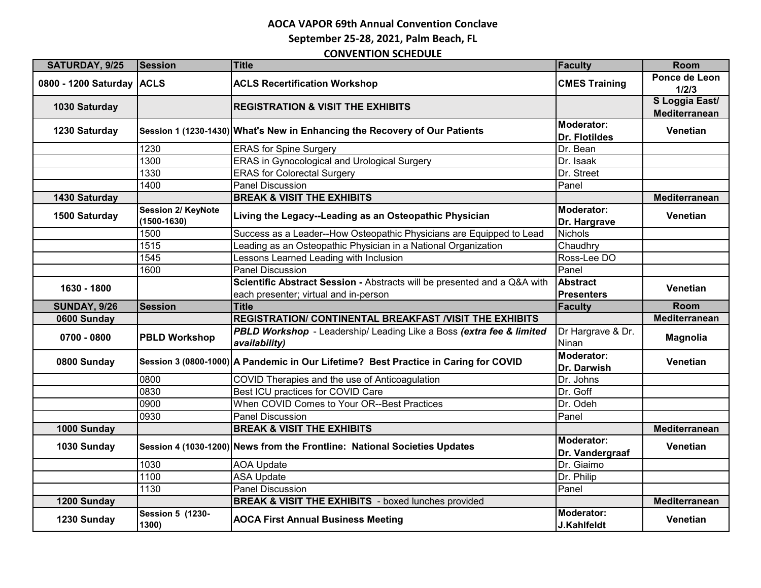**September 25-28, 2021, Palm Beach, FL**

| SATURDAY, 9/25            | <b>Session</b>                        | <b>Title</b>                                                                                                      | <b>Faculty</b>                       | <b>Room</b>                     |
|---------------------------|---------------------------------------|-------------------------------------------------------------------------------------------------------------------|--------------------------------------|---------------------------------|
| 0800 - 1200 Saturday ACLS |                                       | <b>ACLS Recertification Workshop</b>                                                                              | <b>CMES Training</b>                 | Ponce de Leon<br>1/2/3          |
| 1030 Saturday             |                                       | <b>REGISTRATION &amp; VISIT THE EXHIBITS</b>                                                                      |                                      | S Loggia East/<br>Mediterranean |
| 1230 Saturday             |                                       | Session 1 (1230-1430) What's New in Enhancing the Recovery of Our Patients                                        | Moderator:<br><b>Dr. Flotildes</b>   | Venetian                        |
|                           | 1230                                  | <b>ERAS</b> for Spine Surgery                                                                                     | Dr. Bean                             |                                 |
|                           | 1300                                  | <b>ERAS</b> in Gynocological and Urological Surgery                                                               | Dr. Isaak                            |                                 |
|                           | 1330                                  | <b>ERAS for Colorectal Surgery</b>                                                                                | Dr. Street                           |                                 |
|                           | 1400                                  | Panel Discussion                                                                                                  | Panel                                |                                 |
| 1430 Saturday             |                                       | <b>BREAK &amp; VISIT THE EXHIBITS</b>                                                                             |                                      | Mediterranean                   |
| 1500 Saturday             | Session 2/ KeyNote<br>$(1500 - 1630)$ | Living the Legacy--Leading as an Osteopathic Physician                                                            | <b>Moderator:</b><br>Dr. Hargrave    | Venetian                        |
|                           | 1500                                  | Success as a Leader--How Osteopathic Physicians are Equipped to Lead                                              | <b>Nichols</b>                       |                                 |
|                           | 1515                                  | Leading as an Osteopathic Physician in a National Organization                                                    | Chaudhrv                             |                                 |
|                           | 1545                                  | Lessons Learned Leading with Inclusion                                                                            | Ross-Lee DO                          |                                 |
|                           | 1600                                  | <b>Panel Discussion</b>                                                                                           | Panel                                |                                 |
| 1630 - 1800               |                                       | Scientific Abstract Session - Abstracts will be presented and a Q&A with<br>each presenter; virtual and in-person | <b>Abstract</b><br><b>Presenters</b> | Venetian                        |
| <b>SUNDAY, 9/26</b>       | <b>Session</b>                        | <b>Title</b>                                                                                                      | <b>Faculty</b>                       | Room                            |
| 0600 Sunday               |                                       | REGISTRATION/ CONTINENTAL BREAKFAST /VISIT THE EXHIBITS                                                           |                                      | Mediterranean                   |
| 0700 - 0800               | <b>PBLD Workshop</b>                  | PBLD Workshop - Leadership/ Leading Like a Boss (extra fee & limited<br>availability)                             | Dr Hargrave & Dr.<br>Ninan           | <b>Magnolia</b>                 |
| 0800 Sunday               |                                       | Session 3 (0800-1000) A Pandemic in Our Lifetime? Best Practice in Caring for COVID                               | <b>Moderator:</b><br>Dr. Darwish     | Venetian                        |
|                           | 0800                                  | COVID Therapies and the use of Anticoagulation                                                                    | Dr. Johns                            |                                 |
|                           | 0830                                  | Best ICU practices for COVID Care                                                                                 | Dr. Goff                             |                                 |
|                           | 0900                                  | When COVID Comes to Your OR--Best Practices                                                                       | Dr. Odeh                             |                                 |
|                           | 0930                                  | <b>Panel Discussion</b>                                                                                           | Panel                                |                                 |
| 1000 Sunday               |                                       | <b>BREAK &amp; VISIT THE EXHIBITS</b>                                                                             |                                      | Mediterranean                   |
| 1030 Sunday               |                                       | Session 4 (1030-1200) News from the Frontline: National Societies Updates                                         | <b>Moderator:</b><br>Dr. Vandergraaf | <b>Venetian</b>                 |
|                           | 1030                                  | <b>AOA Update</b>                                                                                                 | Dr. Giaimo                           |                                 |
|                           | 1100                                  | <b>ASA Update</b>                                                                                                 | Dr. Philip                           |                                 |
|                           | 1130                                  | <b>Panel Discussion</b>                                                                                           | Panel                                |                                 |
| 1200 Sunday               |                                       | <b>BREAK &amp; VISIT THE EXHIBITS</b> - boxed lunches provided                                                    |                                      | Mediterranean                   |
| 1230 Sunday               | Session 5 (1230-<br>1300)             | <b>AOCA First Annual Business Meeting</b>                                                                         | Moderator:<br>J.Kahlfeldt            | Venetian                        |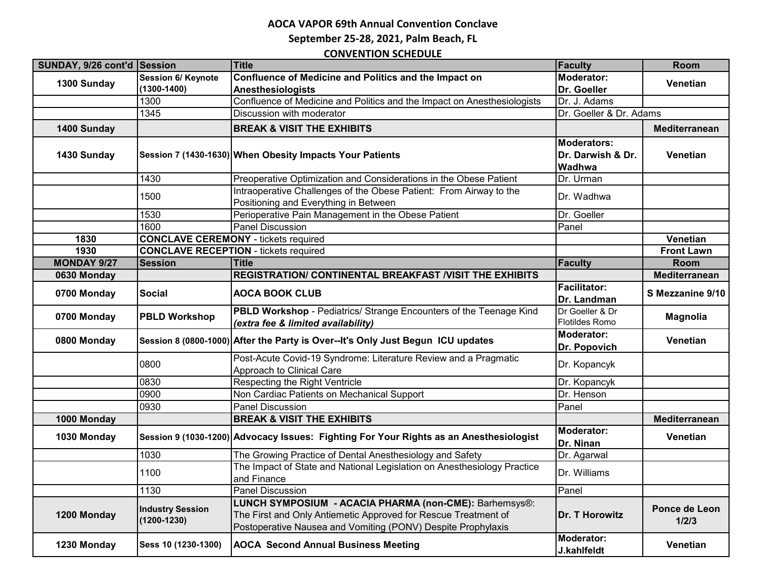**September 25-28, 2021, Palm Beach, FL**

| SUNDAY, 9/26 cont'd Session |                                            | <b>Title</b>                                                                                                                                                                             | <b>Faculty</b>                                    | Room                   |
|-----------------------------|--------------------------------------------|------------------------------------------------------------------------------------------------------------------------------------------------------------------------------------------|---------------------------------------------------|------------------------|
| 1300 Sunday                 | <b>Session 6/ Keynote</b>                  | Confluence of Medicine and Politics and the Impact on                                                                                                                                    | <b>Moderator:</b>                                 | Venetian               |
|                             | $(1300 - 1400)$                            | Anesthesiologists                                                                                                                                                                        | Dr. Goeller                                       |                        |
|                             | 1300                                       | Confluence of Medicine and Politics and the Impact on Anesthesiologists                                                                                                                  | Dr. J. Adams                                      |                        |
|                             | 1345                                       | Discussion with moderator                                                                                                                                                                | Dr. Goeller & Dr. Adams                           |                        |
| 1400 Sunday                 |                                            | <b>BREAK &amp; VISIT THE EXHIBITS</b>                                                                                                                                                    |                                                   | Mediterranean          |
| 1430 Sunday                 |                                            | Session 7 (1430-1630) When Obesity Impacts Your Patients                                                                                                                                 | <b>Moderators:</b><br>Dr. Darwish & Dr.<br>Wadhwa | Venetian               |
|                             | 1430                                       | Preoperative Optimization and Considerations in the Obese Patient                                                                                                                        | Dr. Urman                                         |                        |
|                             | 1500                                       | Intraoperative Challenges of the Obese Patient: From Airway to the<br>Positioning and Everything in Between                                                                              | Dr. Wadhwa                                        |                        |
|                             | 1530                                       | Perioperative Pain Management in the Obese Patient                                                                                                                                       | Dr. Goeller                                       |                        |
|                             | 1600                                       | <b>Panel Discussion</b>                                                                                                                                                                  | Panel                                             |                        |
| 1830                        |                                            | <b>CONCLAVE CEREMONY</b> - tickets required                                                                                                                                              |                                                   | Venetian               |
| 1930                        |                                            | <b>CONCLAVE RECEPTION - tickets required</b>                                                                                                                                             |                                                   | <b>Front Lawn</b>      |
| <b>MONDAY 9/27</b>          | <b>Session</b>                             | <b>Title</b>                                                                                                                                                                             | <b>Faculty</b>                                    | <b>Room</b>            |
| 0630 Monday                 |                                            | REGISTRATION/ CONTINENTAL BREAKFAST /VISIT THE EXHIBITS                                                                                                                                  |                                                   | Mediterranean          |
| 0700 Monday                 | <b>Social</b>                              | <b>AOCA BOOK CLUB</b>                                                                                                                                                                    | <b>Facilitator:</b><br>Dr. Landman                | S Mezzanine 9/10       |
| 0700 Monday                 | <b>PBLD Workshop</b>                       | PBLD Workshop - Pediatrics/ Strange Encounters of the Teenage Kind<br>(extra fee & limited availability)                                                                                 | Dr Goeller & Dr<br>Flotildes Romo                 | <b>Magnolia</b>        |
| 0800 Monday                 |                                            | Session 8 (0800-1000) After the Party is Over--It's Only Just Begun ICU updates                                                                                                          | Moderator:<br>Dr. Popovich                        | Venetian               |
|                             | 0800                                       | Post-Acute Covid-19 Syndrome: Literature Review and a Pragmatic<br>Approach to Clinical Care                                                                                             | Dr. Kopancyk                                      |                        |
|                             | 0830                                       | Respecting the Right Ventricle                                                                                                                                                           | Dr. Kopancyk                                      |                        |
|                             | 0900                                       | Non Cardiac Patients on Mechanical Support                                                                                                                                               | Dr. Henson                                        |                        |
|                             | 0930                                       | <b>Panel Discussion</b>                                                                                                                                                                  | Panel                                             |                        |
| 1000 Monday                 |                                            | <b>BREAK &amp; VISIT THE EXHIBITS</b>                                                                                                                                                    |                                                   | Mediterranean          |
| 1030 Monday                 |                                            | Session 9 (1030-1200) Advocacy Issues: Fighting For Your Rights as an Anesthesiologist                                                                                                   | <b>Moderator:</b><br>Dr. Ninan                    | Venetian               |
|                             | 1030                                       | The Growing Practice of Dental Anesthesiology and Safety                                                                                                                                 | Dr. Agarwal                                       |                        |
|                             | 1100                                       | The Impact of State and National Legislation on Anesthesiology Practice<br>and Finance                                                                                                   | Dr. Williams                                      |                        |
|                             | 1130                                       | Panel Discussion                                                                                                                                                                         | Panel                                             |                        |
| 1200 Monday                 | <b>Industry Session</b><br>$(1200 - 1230)$ | LUNCH SYMPOSIUM - ACACIA PHARMA (non-CME): Barhemsys®:<br>The First and Only Antiemetic Approved for Rescue Treatment of<br>Postoperative Nausea and Vomiting (PONV) Despite Prophylaxis | Dr. T Horowitz                                    | Ponce de Leon<br>1/2/3 |
| 1230 Monday                 | Sess 10 (1230-1300)                        | <b>AOCA Second Annual Business Meeting</b>                                                                                                                                               | <b>Moderator:</b><br>J.kahlfeldt                  | Venetian               |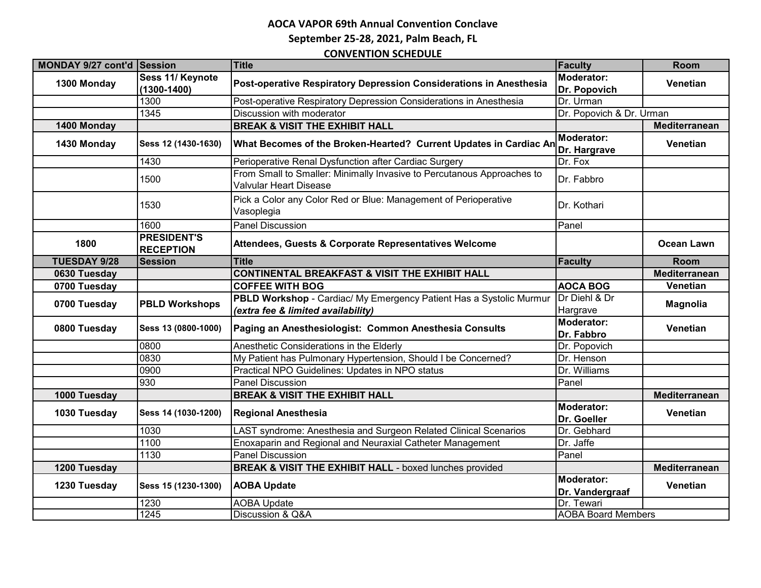**September 25-28, 2021, Palm Beach, FL**

| MONDAY 9/27 cont'd Session |                                        | <b>Title</b>                                                                                            | <b>Faculty</b>                    | Room                 |
|----------------------------|----------------------------------------|---------------------------------------------------------------------------------------------------------|-----------------------------------|----------------------|
| 1300 Monday                | Sess 11/ Keynote                       |                                                                                                         | <b>Moderator:</b>                 | <b>Venetian</b>      |
|                            | $(1300 - 1400)$                        | Post-operative Respiratory Depression Considerations in Anesthesia                                      | Dr. Popovich                      |                      |
|                            | 1300                                   | Post-operative Respiratory Depression Considerations in Anesthesia                                      | Dr. Urman                         |                      |
|                            | 1345                                   | Discussion with moderator                                                                               | Dr. Popovich & Dr. Urman          |                      |
| 1400 Monday                |                                        | <b>BREAK &amp; VISIT THE EXHIBIT HALL</b>                                                               |                                   | <b>Mediterranean</b> |
| 1430 Monday                | Sess 12 (1430-1630)                    | What Becomes of the Broken-Hearted? Current Updates in Cardiac An                                       | <b>Moderator:</b><br>Dr. Hargrave | Venetian             |
|                            | 1430                                   | Perioperative Renal Dysfunction after Cardiac Surgery                                                   | Dr. Fox                           |                      |
|                            | 1500                                   | From Small to Smaller: Minimally Invasive to Percutanous Approaches to<br><b>Valvular Heart Disease</b> | Dr. Fabbro                        |                      |
|                            | 1530                                   | Pick a Color any Color Red or Blue: Management of Perioperative<br>Vasoplegia                           | Dr. Kothari                       |                      |
|                            | 1600                                   | <b>Panel Discussion</b>                                                                                 | Panel                             |                      |
| 1800                       | <b>PRESIDENT'S</b><br><b>RECEPTION</b> | Attendees, Guests & Corporate Representatives Welcome                                                   |                                   | <b>Ocean Lawn</b>    |
| <b>TUESDAY 9/28</b>        | <b>Session</b>                         | <b>Title</b>                                                                                            | Faculty                           | <b>Room</b>          |
| 0630 Tuesday               |                                        | <b>CONTINENTAL BREAKFAST &amp; VISIT THE EXHIBIT HALL</b>                                               |                                   | Mediterranean        |
| 0700 Tuesday               |                                        | <b>COFFEE WITH BOG</b>                                                                                  | <b>AOCA BOG</b>                   | <b>Venetian</b>      |
| 0700 Tuesday               | <b>PBLD Workshops</b>                  | PBLD Workshop - Cardiac/ My Emergency Patient Has a Systolic Murmur                                     | Dr Diehl & Dr                     | <b>Magnolia</b>      |
|                            |                                        | (extra fee & limited availability)                                                                      | Hargrave                          |                      |
| 0800 Tuesday               | Sess 13 (0800-1000)                    | Paging an Anesthesiologist: Common Anesthesia Consults                                                  | Moderator:<br>Dr. Fabbro          | Venetian             |
|                            | 0800                                   | Anesthetic Considerations in the Elderly                                                                | Dr. Popovich                      |                      |
|                            | 0830                                   | My Patient has Pulmonary Hypertension, Should I be Concerned?                                           | Dr. Henson                        |                      |
|                            | 0900                                   | Practical NPO Guidelines: Updates in NPO status                                                         | Dr. Williams                      |                      |
|                            | 930                                    | <b>Panel Discussion</b>                                                                                 | Panel                             |                      |
| 1000 Tuesday               |                                        | <b>BREAK &amp; VISIT THE EXHIBIT HALL</b>                                                               |                                   | Mediterranean        |
| 1030 Tuesday               | Sess 14 (1030-1200)                    | <b>Regional Anesthesia</b>                                                                              | Moderator:<br>Dr. Goeller         | Venetian             |
|                            | 1030                                   | LAST syndrome: Anesthesia and Surgeon Related Clinical Scenarios                                        | Dr. Gebhard                       |                      |
|                            | 1100                                   | Enoxaparin and Regional and Neuraxial Catheter Management                                               | Dr. Jaffe                         |                      |
|                            | 1130                                   | <b>Panel Discussion</b>                                                                                 | Panel                             |                      |
| 1200 Tuesday               |                                        | <b>BREAK &amp; VISIT THE EXHIBIT HALL - boxed lunches provided</b>                                      |                                   | Mediterranean        |
| 1230 Tuesday               | Sess 15 (1230-1300)                    | <b>AOBA Update</b>                                                                                      | Moderator:<br>Dr. Vandergraaf     | Venetian             |
|                            | 1230                                   | <b>AOBA Update</b>                                                                                      | Dr. Tewari                        |                      |
|                            | 1245                                   | Discussion & Q&A                                                                                        | <b>AOBA Board Members</b>         |                      |